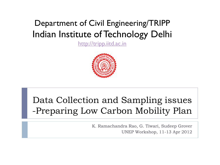### Department of Civil Engineering/TRIPP Indian Institute of Technology Delhi

[http://tripp.iitd.ac.in](http://tripp.iitd.ac.in/)



## Data Collection and Sampling issues -Preparing Low Carbon Mobility Plan

K. Ramachandra Rao, G. Tiwari, Sudeep Grover UNEP Workshop, 11-13 Apr 2012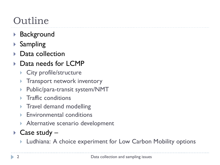# Outline

- ▶ Background
- $\blacktriangleright$  Sampling
- Data collection
- Data needs for LCMP
	- ▶ City profile/structure
	- **Transport network inventory**
	- ▶ Public/para-transit system/NMT
	- $\blacktriangleright$  Traffic conditions
	- **Travel demand modelling**
	- **Environmental conditions**
	- Alternative scenario development
- ▶ Case study
	- **Ludhiana: A choice experiment for Low Carbon Mobility options**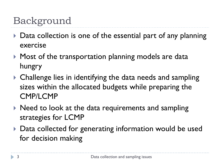# Background

- Data collection is one of the essential part of any planning exercise
- ▶ Most of the transportation planning models are data hungry
- Challenge lies in identifying the data needs and sampling sizes within the allocated budgets while preparing the CMP/LCMP
- $\triangleright$  Need to look at the data requirements and sampling strategies for LCMP
- ▶ Data collected for generating information would be used for decision making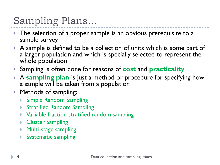# Sampling Plans…

- The selection of a proper sample is an obvious prerequisite to a sample survey
- A sample is defined to be a collection of units which is some part of a larger population and which is specially selected to represent the whole population
- Sampling is often done for reasons of **cost** and **practicality**
- A **sampling plan** is just a method or procedure for specifying how a sample will be taken from a population
- ▶ Methods of sampling:
	- Simple Random Sampling
	- ▶ Stratified Random Sampling
	- Variable fraction stratified random sampling
	- ▶ Cluster Sampling
	- ▶ Multi-stage sampling
	- Systematic sampling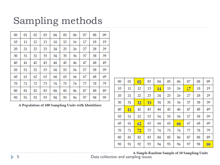# Sampling methods

| 00 | 01 | 02 | 03 | 04 | 05 | 06 | 07 | 08 | 09 |
|----|----|----|----|----|----|----|----|----|----|
| 10 | 11 | 12 | 13 | 14 | 15 | 16 | 17 | 18 | 19 |
| 20 | 21 | 22 | 23 | 24 | 25 | 26 | 27 | 28 | 29 |
| 30 | 31 | 32 | 33 | 34 | 35 | 36 | 37 | 38 | 39 |
| 40 | 41 | 42 | 43 | 44 | 45 | 46 | 47 | 48 | 49 |
| 50 | 51 | 52 | 53 | 54 | 55 | 56 | 57 | 58 | 59 |
| 60 | 61 | 62 | 63 | 64 | 65 | 66 | 67 | 68 | 69 |
| 70 | 71 | 72 | 73 | 74 | 75 | 76 | 77 | 78 | 79 |
| 80 | 81 | 82 | 83 | 84 | 85 | 86 | 87 | 88 | 89 |
| 90 | 91 | 92 | 93 | 94 | 95 | 96 | 97 | 98 | 99 |

A Population of 100 Sampling Units with Identifiers

| $00\,$ | 01 | 02 | 03 | 04 | 05 | 06 | 07 | 08 | 09 |
|--------|----|----|----|----|----|----|----|----|----|
| 10     | 11 | 12 | 13 | 14 | 15 | 16 | 17 | 18 | 19 |
| 20     | 21 | 22 | 23 | 24 | 25 | 26 | 27 | 28 | 29 |
| 30     | 31 | 32 | 33 | 34 | 35 | 36 | 37 | 38 | 39 |
| 40     | 41 | 42 | 43 | 44 | 45 | 46 | 47 | 48 | 49 |
| 50     | 51 | 52 | 53 | 54 | 55 | 56 | 57 | 58 | 59 |
| 60     | 61 | 62 | 63 | 64 | 65 | 66 | 67 | 68 | 69 |
| 70     | 71 | 72 | 73 | 74 | 75 | 76 | 77 | 78 | 79 |
| 80     | 81 | 82 | 83 | 84 | 85 | 86 | 87 | 88 | 89 |
| 90     | 91 | 92 | 93 | 94 | 95 | 96 | 97 | 98 | 99 |

A Simple Random Sample of 10 Sampling Units<br>
Data collection and sampling issues

h.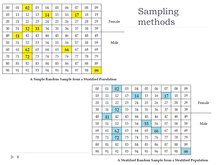|        | 09 | 08 | 07 | 06 | 05 | 04 | 03 | 02 | 01 | 00 |
|--------|----|----|----|----|----|----|----|----|----|----|
|        | 19 | 18 | 17 | 16 | 15 | 14 | 13 | 12 | 11 | 10 |
| Female | 29 | 28 | 27 | 26 | 25 | 24 | 23 | 22 | 21 | 20 |
|        | 39 | 38 | 37 | 36 | 35 | 34 | 33 | 32 | 31 | 30 |
|        | 49 | 48 | 47 | 46 | 45 | 44 | 43 | 42 | 41 | 40 |
| Male   | 59 | 58 | 57 | 56 | 55 | 54 | 53 | 52 | 51 | 50 |
|        | 69 | 68 | 67 | 66 | 65 | 64 | 63 | 62 | 61 | 60 |
|        | 79 | 78 | 77 | 76 | 75 | 74 | 73 | 72 | 71 | 70 |
|        | 89 | 88 | 87 | 86 | 85 | 84 | 83 | 82 | 81 | 80 |
|        | 99 | 98 | 97 | 96 | 95 | 94 | 93 | 92 | 91 | 90 |

Sampling methods

#### A Simple Random Sample from a Stratified Population

|        | 09 | 08 | 07 | 06 | 05 | 04 | 03 | 02 | 01 | 00 |
|--------|----|----|----|----|----|----|----|----|----|----|
|        | 19 | 18 | 17 | 16 | 15 | 14 | 13 | 12 | 11 | 10 |
| Female | 29 | 28 | 27 | 26 | 25 | 24 | 23 | 22 | 21 | 20 |
|        | 39 | 38 | 37 | 36 | 35 | 34 | 33 | 32 | 31 | 30 |
|        | 49 | 48 | 47 | 46 | 45 | 44 | 43 | 42 | 41 | 40 |
| Male   | 59 | 58 | 57 | 56 | 55 | 54 | 53 | 52 | 51 | 50 |
|        | 69 | 68 | 67 | 66 | 65 | 64 | 63 | 62 | 61 | 60 |
|        | 79 | 78 | 77 | 76 | 75 | 74 | 73 | 72 | 71 | 70 |
|        | 89 | 88 | 87 | 86 | 85 | 84 | 83 | 82 | 81 | 80 |
|        | 99 | 98 | 97 | 96 | 95 | 94 | 93 | 92 | 91 | 90 |

 $6$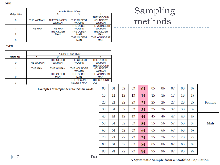|              | Adults 18 and Over |                             |                            |                                        |  |  |  |  |
|--------------|--------------------|-----------------------------|----------------------------|----------------------------------------|--|--|--|--|
| Males $18 +$ |                    |                             |                            |                                        |  |  |  |  |
|              | THE WOMAN          | THE YOUNGER<br><b>WOMAN</b> | THE OLDEST<br><b>WOMAN</b> | THE SECOND<br>YOUNGEST<br><b>WOMAN</b> |  |  |  |  |
|              | <b>THE MAN</b>     | <b>THE MAN</b>              | THE OLDER<br><b>WOMAN</b>  | <b>THE YOUNGEST</b><br><b>WOMAN</b>    |  |  |  |  |
| 2            |                    | THE OLDER<br>MAN            | THE OLDER<br>MAN           | THE OLDER<br>MAN                       |  |  |  |  |
|              |                    |                             | THE OLDEST<br>MAN          | <b>THE YOUNGEST</b><br><b>MAN</b>      |  |  |  |  |

#### Sampling methods

#### **EVEN**

| Males $18 +$ |                  |                           | 3                                  |                                        |
|--------------|------------------|---------------------------|------------------------------------|----------------------------------------|
|              | <b>THE WOMAN</b> | THE OLDER<br><b>WOMAN</b> | THE OLDEST<br><b>WOMAN</b>         | THE OLDEST<br><b>WOMAN</b>             |
|              | <b>THE MAN</b>   | <b>THE WOMAN</b>          | <b>THE YOUNGER</b><br><b>WOMAN</b> | THE SECOND<br>YOUNGEST<br><b>WOMAN</b> |
| 2            |                  | <b>THE OLDER</b><br>MAN   | <b>THE OLDER</b><br>MAN            | <b>THE YOUNGEST</b><br>MAN             |
| з            |                  |                           | THE SECOND<br><b>OLDEST MAN</b>    | THE SECOND<br>OLDERT MAN               |

#### **Examples of Respondent Selection Grids**

| 00 | 01 | 02 | 03 | 04 | 05 | 06 | 07 | 08 | 09 |        |
|----|----|----|----|----|----|----|----|----|----|--------|
| 10 | 11 | 12 | 13 | 14 | 15 | 16 | 17 | 18 | 19 |        |
| 20 | 21 | 22 | 23 | 24 | 25 | 26 | 27 | 28 | 29 | Female |
| 30 | 31 | 32 | 33 | 34 | 35 | 36 | 37 | 38 | 39 |        |
| 40 | 41 | 42 | 43 | 44 | 45 | 46 | 47 | 48 | 49 |        |
| 50 | 51 | 52 | 53 | 54 | 55 | 56 | 57 | 58 | 59 | Male   |
| 60 | 61 | 62 | 63 | 64 | 65 | 66 | 67 | 68 | 69 |        |
| 70 | 71 | 72 | 73 | 74 | 75 | 76 | 77 | 78 | 79 |        |
| 80 | 81 | 82 | 83 | 84 | 85 | 86 | 87 | 88 | 89 |        |
| 90 | 91 | 92 | 93 | 94 | 95 | 96 | 97 | 98 | 99 |        |

#### $\blacktriangleright$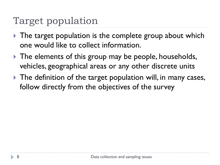# Target population

- ▶ The target population is the complete group about which one would like to collect information.
- If The elements of this group may be people, households, vehicles, geographical areas or any other discrete units
- The definition of the target population will, in many cases, follow directly from the objectives of the survey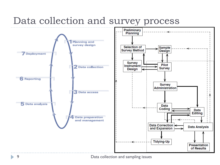# Data collection and survey process

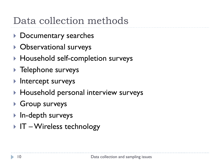# Data collection methods

- ▶ Documentary searches
- ▶ Observational surveys
- ▶ Household self-completion surveys
- ▶ Telephone surveys
- **Intercept surveys**
- ▶ Household personal interview surveys
- ▶ Group surveys
- ▶ In-depth surveys
- $\triangleright$  IT Wireless technology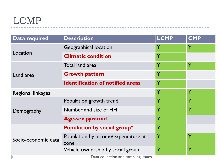## LCMP

| <b>Data required</b>         | <b>Description</b>                          | <b>LCMP</b> | <b>CMP</b> |
|------------------------------|---------------------------------------------|-------------|------------|
|                              | <b>Geographical location</b>                | Y           | Y          |
| Location                     | <b>Climatic condition</b>                   | Y           |            |
| Land area                    | Total land area                             | Ÿ           | Ÿ          |
|                              | <b>Growth pattern</b>                       | Y           |            |
|                              | <b>Identification of notified areas</b>     | Y           |            |
| <b>Regional linkages</b>     |                                             | Ÿ           | Y          |
|                              | Population growth trend                     | Y           | Y          |
| Demography                   | Number and size of HH                       | Y           | Y          |
|                              | <b>Age-sex pyramid</b>                      | Y           |            |
|                              | Population by social group*                 | Y           |            |
| Socio-economic data          | Population by income/expenditure at<br>zone | Y           | Y          |
|                              | Vehicle ownership by social group           | Y           | Y          |
| $\blacktriangleright$<br>-11 | Data collection and sampling issues         |             |            |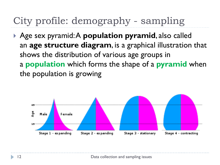# City profile: demography - sampling

 Age sex pyramid: A **population pyramid**, also called an **age structure diagram**, is a graphical illustration that shows the distribution of various age groups in a **population** which forms the shape of a **pyramid** when the population is growing

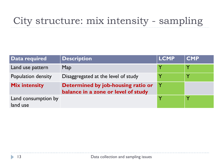# City structure: mix intensity - sampling

| Data required                   | <b>Description</b>                                                        | <b>LCMP</b> | <b>CMP</b>   |
|---------------------------------|---------------------------------------------------------------------------|-------------|--------------|
| Land use pattern                | Map                                                                       |             |              |
| Population density              | Disaggregated at the level of study                                       |             | $\checkmark$ |
| <b>Mix intensity</b>            | Determined by job-housing ratio or<br>balance in a zone or level of study |             |              |
| Land consumption by<br>land use |                                                                           |             |              |

h.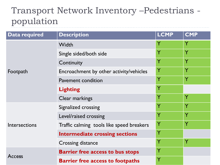#### Transport Network Inventory –Pedestrians population \_\_\_\_\_\_\_\_\_\_\_\_\_\_\_\_\_

| <b>Data required</b> | <b>Description</b>                        | <b>LCMP</b> | <b>CMP</b> |
|----------------------|-------------------------------------------|-------------|------------|
|                      | Width                                     | Y           | Y          |
|                      | Single sided/both side                    | Y           | Ÿ          |
|                      | Continuity                                | Y           | Ÿ          |
| Footpath             | Encroachment by other activity/vehicles   | Y           | Ÿ          |
|                      | <b>Pavement condition</b>                 | Y           | Y          |
|                      | <b>Lighting</b>                           | Ÿ           |            |
|                      | Clear markings                            | Ÿ           | Y          |
|                      | Signalized crossing                       | Y           | Ÿ          |
|                      | Level/raised crossing                     | Y           | Ÿ          |
| Intersections        | Traffic calming tools like speed breakers | Y           | Y          |
|                      | <b>Intermediate crossing sections</b>     | Y           |            |
|                      | <b>Crossing distance</b>                  | Ý           | Y          |
|                      | <b>Barrier free access to bus stops</b>   | Y           |            |
| <b>Access</b>        | <b>Barrier free access to footpaths</b>   | Ý           |            |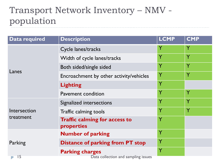#### Transport Network Inventory – NMV population

| <b>Data required</b> | <b>Description</b>                                 | <b>LCMP</b> | <b>CMP</b> |
|----------------------|----------------------------------------------------|-------------|------------|
|                      | Cycle lanes/tracks                                 |             | Y          |
|                      | Width of cycle lanes/tracks                        |             | Y          |
|                      | Both sided/single sided                            | Y           | Ÿ          |
| Lanes                | Encroachment by other activity/vehicles            | Y           | Y          |
|                      | <b>Lighting</b>                                    | Y           |            |
|                      | <b>Pavement condition</b>                          | Y           | Ÿ          |
|                      | Signalized intersections                           | Y           | Ÿ          |
| Intersection         | Traffic calming tools                              |             | Y          |
| treatment            | <b>Traffic calming for access to</b><br>properties | Y           |            |
|                      | <b>Number of parking</b>                           | Y           |            |
| Parking              | <b>Distance of parking from PT stop</b>            | Y           |            |
|                      | <b>Parking charges</b>                             |             |            |
| 15                   | Data collection and sampling issues                |             |            |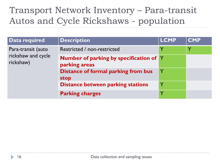### Transport Network Inventory – Para-transit Autos and Cycle Rickshaws - population

| Data required                   | <b>Description</b>                                              | <b>LCMP</b> | <b>CMP</b> |
|---------------------------------|-----------------------------------------------------------------|-------------|------------|
| Para-transit (auto              | Restricted / non-restricted                                     | Y           | Υ          |
| rickshaw and cycle<br>rickshaw) | <b>Number of parking by specification of Y</b><br>parking areas |             |            |
|                                 | <b>Distance of formal parking from bus</b><br>stop              | Y           |            |
|                                 | <b>Distance between parking stations</b>                        | Y           |            |
|                                 | <b>Parking charges</b>                                          | Y           |            |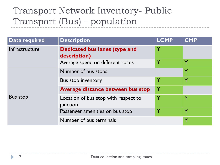## Transport Network Inventory- Public Transport (Bus) - population

| Data required   | <b>Description</b>                               | <b>LCMP</b> | <b>CMP</b>   |
|-----------------|--------------------------------------------------|-------------|--------------|
| Infrastructure  | Dedicated bus lanes (type and<br>description)    | Y           |              |
|                 | Average speed on different roads                 |             | Y            |
| <b>Bus stop</b> | Number of bus stops                              |             | $\checkmark$ |
|                 | Bus stop inventory                               |             | Y            |
|                 | Average distance between bus stop                | Y           |              |
|                 | Location of bus stop with respect to<br>junction |             | Y            |
|                 | Passenger amenities on bus stop                  | $\mathbf v$ | Y            |
|                 | Number of bus terminals                          |             |              |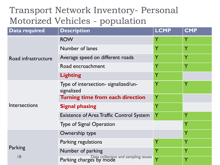#### Transport Network Inventory- Personal Motorized Vehicles - population

| <b>Data required</b> | <b>Description</b>                                             | <b>LCMP</b> | <b>CMP</b> |
|----------------------|----------------------------------------------------------------|-------------|------------|
|                      | <b>ROW</b>                                                     |             | Y          |
|                      | Number of lanes                                                | Y           | Y          |
| Road infrastructure  | Average speed on different roads                               | Y           | Y          |
|                      | Road encroachment                                              |             | Y          |
|                      | <b>Lighting</b>                                                | Y           |            |
|                      | Type of intersection- signalized/un-<br>signalized             | Ý           | Ÿ          |
|                      | Turning time from each direction                               | Ý           |            |
| Intersections        | <b>Signal phasing</b>                                          | Y           |            |
|                      | <b>Existence of Area Traffic Control System</b>                | Y           | Ý          |
|                      | <b>Type of Signal Operation</b>                                |             | Y          |
|                      | Ownership type                                                 |             | Y          |
|                      | Parking regulations                                            |             | Y          |
| Parking              | Number of parking                                              |             | Y          |
| 8                    | Data collection and sampling issues<br>Parking charges by mode |             | Y          |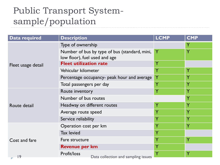## Public Transport Systemsample/population

| <b>Data required</b> | <b>Description</b>                                 | <b>LCMP</b> | <b>CMP</b> |
|----------------------|----------------------------------------------------|-------------|------------|
|                      | Type of ownership                                  |             | Y          |
|                      | Number of bus by type of bus (standard, mini,      | Y           | Ý          |
|                      | low floor), fuel used and age                      |             |            |
| Fleet usage detail   | <b>Fleet utilization rate</b>                      |             |            |
|                      | Vehicular kilometer                                |             | Y          |
|                      | Percentage occupancy- peak hour and average        | Y           | Y          |
|                      | Total passengers per day                           | Y           | Ÿ          |
|                      | Route inventory                                    | Ÿ           | Ÿ          |
|                      | Number of bus routes                               |             | Y          |
| Route detail         | Headway on different routes                        |             | Y          |
|                      | Average route speed                                |             | Y          |
|                      | Service reliability                                |             | Y          |
| Cost and fare        | Operation cost per km                              |             | Ÿ          |
|                      | <b>Tax levied</b>                                  |             |            |
|                      | Fare structure                                     |             | Ÿ          |
|                      | <b>Revenue per km</b>                              |             |            |
| 9                    | Profit/loss<br>Data collection and sampling issues |             | Y          |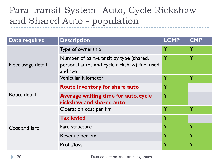### Para-transit System- Auto, Cycle Rickshaw and Shared Auto - population

| <b>Data required</b> | <b>Description</b>                                                                                  | <b>LCMP</b> | <b>CMP</b> |
|----------------------|-----------------------------------------------------------------------------------------------------|-------------|------------|
|                      | Type of ownership                                                                                   | Y           | Y          |
| Fleet usage detail   | Number of para-transit by type (shared,<br>personal autos and cycle rickshaw), fuel used<br>and age | Ý           | Ÿ          |
|                      | Vehicular kilometer                                                                                 | Y           | Y          |
| Route detail         | <b>Route inventory for share auto</b>                                                               | Y           |            |
|                      | Average waiting time for auto, cycle<br>rickshaw and shared auto                                    | Ÿ           |            |
| Cost and fare        | Operation cost per km                                                                               | Y           | Υ          |
|                      | <b>Tax levied</b>                                                                                   | Ÿ           |            |
|                      | Fare structure                                                                                      | Ÿ           | Ÿ          |
|                      | Revenue per km                                                                                      | Y           | Ÿ          |
|                      | Profit/loss                                                                                         |             | Y          |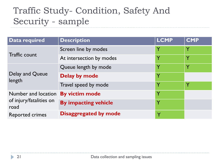## Traffic Study- Condition, Safety And Security - sample

| Data required                   | <b>Description</b>          | <b>LCMP</b>  | <b>CMP</b> |
|---------------------------------|-----------------------------|--------------|------------|
|                                 | Screen line by modes        |              | Y          |
| <b>Traffic count</b>            | At intersection by modes    |              | Y          |
| Delay and Queue<br>length       | Queue length by mode        |              | Y          |
|                                 | <b>Delay by mode</b>        |              |            |
|                                 | Travel speed by mode        |              | Y          |
| Number and location             | <b>By victim mode</b>       |              |            |
| of injury/fatalities on<br>road | <b>By impacting vehicle</b> |              |            |
| <b>Reported crimes</b>          | Disaggregated by mode       | $\checkmark$ |            |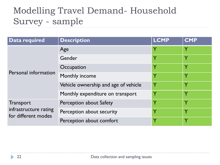## Modelling Travel Demand- Household Survey - sample

| Data required                                | <b>Description</b>                   | <b>LCMP</b> | <b>CMP</b>   |
|----------------------------------------------|--------------------------------------|-------------|--------------|
| Personal information                         | Age                                  | Y           | Y            |
|                                              | Gender                               | Y           | Y            |
|                                              | Occupation                           | Y           |              |
|                                              | Monthly income                       | Y           | $\checkmark$ |
|                                              | Vehicle ownership and age of vehicle | Y           |              |
|                                              | Monthly expenditure on transport     | Y           |              |
| <b>Transport</b>                             | Perception about Safety              | Y           | Υ            |
| infrastructure rating<br>for different modes | Perception about security            | Y           | $\checkmark$ |
|                                              | Perception about comfort             |             | Y            |

h.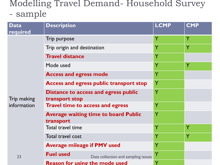#### Modelling Travel Demand- Household Survey - sample

| <b>Data</b><br>required | <b>Description</b>                                     |                                             | <b>LCMP</b> | <b>CMP</b> |
|-------------------------|--------------------------------------------------------|---------------------------------------------|-------------|------------|
|                         | Trip purpose                                           |                                             | Y           | Ý          |
|                         | Trip origin and destination                            |                                             | Y           | Y          |
|                         | <b>Travel distance</b>                                 |                                             | Y           |            |
|                         | Mode used                                              |                                             | Ÿ           | Ÿ          |
|                         | <b>Access and egress mode</b>                          |                                             | Y           |            |
|                         | <b>Access and egress public transport stop</b>         | Y                                           |             |            |
| Trip making             | Distance to access and egress public<br>transport stop |                                             | Y           |            |
| information             | <b>Travel time to access and egress</b>                |                                             | Y           |            |
|                         | transport                                              | <b>Average waiting time to board Public</b> | Y           |            |
|                         | Total travel time                                      | Ý                                           | Ÿ           |            |
|                         | Total travel cost                                      |                                             | Y           | Y          |
|                         | <b>Average mileage if PMV used</b>                     |                                             | Y           |            |
| 23                      | <b>Fuel used</b>                                       | Data collection and sampling issues         | Y           |            |
|                         | <b>Reason for using the mode used</b>                  |                                             |             |            |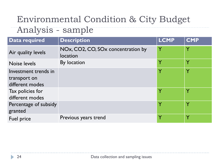# Environmental Condition & City Budget

#### Analysis - sample

| Data required                                           | <b>Description</b>                             | <b>LCMP</b> | <b>CMP</b> |
|---------------------------------------------------------|------------------------------------------------|-------------|------------|
| Air quality levels                                      | NOx, CO2, CO, SOx concentration by<br>location | Y           | Y          |
| Noise levels                                            | By location                                    |             | Y          |
| Investment trends in<br>transport on<br>different modes |                                                | Y           | Y          |
| Tax policies for<br>different modes                     |                                                |             | Y          |
| Percentage of subsidy<br>granted                        |                                                |             | Y          |
| Fuel price                                              | Previous years trend                           |             | Y          |

h.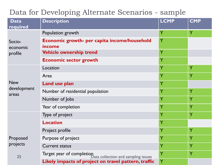#### Data for Developing Alternate Scenarios - sample

| <b>Data</b><br>required | <b>Description</b>                                               | <b>LCMP</b> | <b>CMP</b> |
|-------------------------|------------------------------------------------------------------|-------------|------------|
|                         | Population growth                                                | Y           | Y          |
| Socio-<br>economic      | Economic growth- per capita income/household<br>income           | Y           |            |
| profile                 | <b>Vehicle ownership trend</b>                                   | Y           |            |
|                         | <b>Economic sector growth</b>                                    | Y           |            |
|                         | Location                                                         | Y           | Y          |
|                         | Area                                                             | Y           | Y          |
| <b>New</b>              | <b>Land use plan</b>                                             | Y           |            |
| development<br>areas    | Number of residential population                                 | Y           | Y          |
|                         | Number of Jobs                                                   | Y           | Y          |
|                         | Year of completion                                               | Y           | Y          |
|                         | Type of project                                                  | Y           | Y          |
|                         | <b>Location</b>                                                  | Y           |            |
|                         | Project profile                                                  | Y           | Ÿ          |
| Proposed                | Purpose of project                                               | Υ           | Y          |
| projects                | <b>Current status</b>                                            | Υ           | Ÿ          |
| 25                      | Target year of completion<br>Data collection and sampling issues | Ÿ           | Ÿ          |
|                         | Likely impacts of project on travel pattern, traffic             | Ÿ           |            |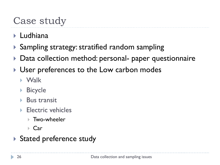# Case study

- ▶ Ludhiana
- Sampling strategy: stratified random sampling
- ▶ Data collection method: personal- paper questionnaire
- User preferences to the Low carbon modes
	- Walk
	- Bicycle
	- $\triangleright$  Bus transit
	- ▶ Electric vehicles
		- **▶ Two-wheeler**
		- ▶ Car
- Stated preference study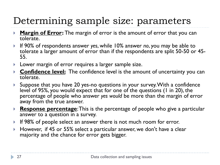# Determining sample size: parameters

- **Margin of Error:** The margin of error is the amount of error that you can tolerate.
- If 90% of respondents answer *yes*, while 10% answer *no*, you may be able to tolerate a larger amount of error than if the respondents are split 50-50 or 45- 55.
- **Lower margin of error requires a larger sample size.**
- **Confidence level:** The confidence level is the amount of uncertainty you can tolerate.
- Suppose that you have 20 yes-no questions in your survey. With a confidence level of 95%, you would expect that for one of the questions (1 in 20), the percentage of people who answer *yes would* be more than the margin of error away from the true answer.
- **Response percentage**:This is the percentage of people who give a particular answer to a question in a survey.
- If 98% of people select an answer there is not much room for error.
- ▶ However, if 45 or 55% select a particular answer, we don't have a clear majority and the chance for error gets bigger.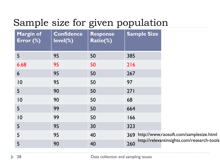# Sample size for given population

| <b>Margin of</b><br>Error (%) | <b>Confidence</b><br>level(%) | <b>Response</b><br>Ratio(%) | <b>Sample Size</b> |                                            |
|-------------------------------|-------------------------------|-----------------------------|--------------------|--------------------------------------------|
| 5                             | 95                            | 50                          | 385                |                                            |
| 6.68                          | 95                            | 50                          | 216                |                                            |
| 6                             | 95                            | 50                          | 267                |                                            |
| $ 0\rangle$                   | 95                            | 50                          | 97                 |                                            |
| 5                             | 90                            | 50                          | 271                |                                            |
| 0                             | 90                            | 50                          | 68                 |                                            |
| 5                             | 99                            | 50                          | 664                |                                            |
| 0                             | 99                            | 50                          | 166                |                                            |
| 5                             | 95                            | 30                          | 323                |                                            |
| 5                             | 95                            | 40                          | 369                | http://www.raosoft.com/samplesize.html     |
| 5                             | 90                            | 40                          | 260                | http://relevantinsights.com/research-tools |

D.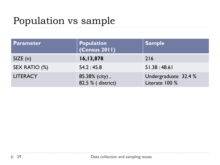# Population vs sample

| <b>Parameter</b> | Population<br>  (Census 2011)       | <b>Sample</b>                          |
|------------------|-------------------------------------|----------------------------------------|
| SIZE(n)          | 16,13,878                           | 216                                    |
| SEX RATIO (%)    | 54.2:45.8                           | 51.38:48.61                            |
| <b>LITERACY</b>  | 85.38% (city),<br>82.5 % (district) | Undergraduate 32.4 %<br>Literate 100 % |

 $\blacktriangleright$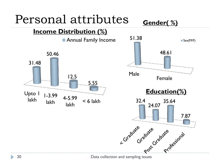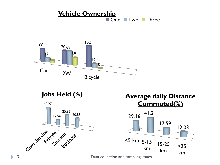









31 Data collection and sampling issues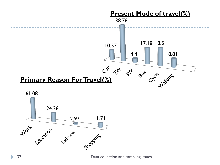



 $\blacktriangleright$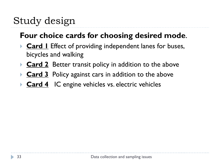# Study design

#### **Four choice cards for choosing desired mode**.

- **Card I** Effect of providing independent lanes for buses, bicycles and walking
- **Card 2** Better transit policy in addition to the above
- **Card 3** Policy against cars in addition to the above
- **Card 4** IC engine vehicles vs. electric vehicles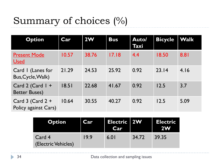# Summary of choices (%)

| <b>Option</b>                                | Car   | 2W    | <b>Bus</b> | Auto/<br>Taxi | <b>Bicycle</b> | <b>Walk</b> |
|----------------------------------------------|-------|-------|------------|---------------|----------------|-------------|
| <b>Present Mode</b><br><b>Used</b>           | 10.57 | 38.76 | 17.18      | 4.4           | 18.50          | 8.81        |
| Card I (Lanes for<br>Bus, Cycle, Walk)       | 21.29 | 24.53 | 25.92      | 0.92          | 23.14          | 4.16        |
| Card 2 (Card $1 +$<br><b>Better Buses)</b>   | 18.51 | 22.68 | 41.67      | 0.92          | 12.5           | 3.7         |
| Card $3$ (Card $2 +$<br>Policy against Cars) | 10.64 | 30.55 | 40.27      | 0.92          | 12.5           | 5.09        |

| <b>Option</b>                 | Car  | Electric   2W<br><b>Car</b> |       | <b>Electric</b><br><b>2W</b> |
|-------------------------------|------|-----------------------------|-------|------------------------------|
| Card 4<br>(Electric Vehicles) | 19.9 | 6.01                        | 34.72 | 39.35                        |

h.